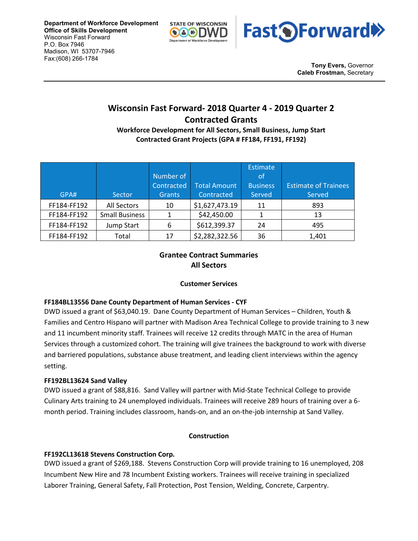



**Tony Evers,** Governor **Caleb Frostman,** Secretary

# **Wisconsin Fast Forward- 2018 Quarter 4 - 2019 Quarter 2 Contracted Grants**

**Workforce Development for All Sectors, Small Business, Jump Start Contracted Grant Projects (GPA # FF184, FF191, FF192)**

|             |                       |               |                     | <b>Estimate</b> |                             |
|-------------|-----------------------|---------------|---------------------|-----------------|-----------------------------|
|             |                       | Number of     |                     | of              |                             |
|             |                       | Contracted    | <b>Total Amount</b> | <b>Business</b> | <b>Estimate of Trainees</b> |
| GPA#        | Sector                | <b>Grants</b> | Contracted          | Served          | Served                      |
| FF184-FF192 | All Sectors           | 10            | \$1,627,473.19      | 11              | 893                         |
| FF184-FF192 | <b>Small Business</b> |               | \$42,450.00         |                 | 13                          |
| FF184-FF192 | Jump Start            | 6             | \$612,399.37        | 24              | 495                         |
| FF184-FF192 | Total                 | 17            | \$2,282,322.56      | 36              | 1,401                       |

## **Grantee Contract Summaries All Sectors**

## **Customer Services**

## **FF184BL13556 Dane County Department of Human Services - CYF**

DWD issued a grant of \$63,040.19. Dane County Department of Human Services – Children, Youth & Families and Centro Hispano will partner with Madison Area Technical College to provide training to 3 new and 11 incumbent minority staff. Trainees will receive 12 credits through MATC in the area of Human Services through a customized cohort. The training will give trainees the background to work with diverse and barriered populations, substance abuse treatment, and leading client interviews within the agency setting.

#### **FF192BL13624 Sand Valley**

DWD issued a grant of \$88,816. Sand Valley will partner with Mid-State Technical College to provide Culinary Arts training to 24 unemployed individuals. Trainees will receive 289 hours of training over a 6 month period. Training includes classroom, hands-on, and an on-the-job internship at Sand Valley.

#### **Construction**

## **FF192CL13618 Stevens Construction Corp.**

DWD issued a grant of \$269,188. Stevens Construction Corp will provide training to 16 unemployed, 208 Incumbent New Hire and 78 Incumbent Existing workers. Trainees will receive training in specialized Laborer Training, General Safety, Fall Protection, Post Tension, Welding, Concrete, Carpentry.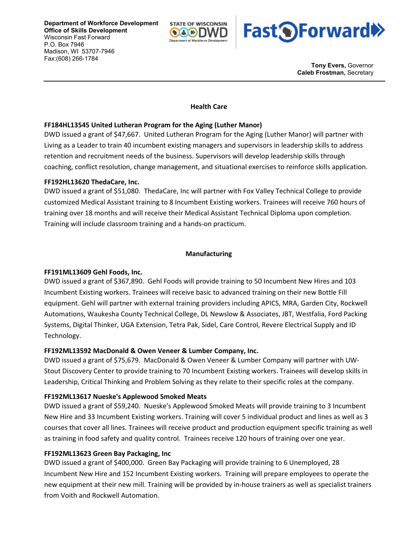

**Fast OForward** 

**Tony Evers,** Governor **Caleb Frostman,** Secretary

#### **Health Care**

#### **FF184HL13545 United Lutheran Program for the Aging (Luther Manor)**

DWD issued a grant of \$47,667. United Lutheran Program for the Aging (Luther Manor) will partner with Living as a Leader to train 40 incumbent existing managers and supervisors in leadership skills to address retention and recruitment needs of the business. Supervisors will develop leadership skills through coaching, conflict resolution, change management, and situational exercises to reinforce skills application.

#### **FF192HL13620 ThedaCare, Inc.**

DWD issued a grant of \$51,080. ThedaCare, Inc will partner with Fox Valley Technical College to provide customized Medical Assistant training to 8 Incumbent Existing workers. Trainees will receive 760 hours of training over 18 months and will receive their Medical Assistant Technical Diploma upon completion. Training will include classroom training and a hands-on practicum.

#### **Manufacturing**

#### **FF191ML13609 Gehl Foods, Inc.**

DWD issued a grant of \$367,890. Gehl Foods will provide training to 50 Incumbent New Hires and 103 Incumbent Existing workers. Trainees will receive basic to advanced training on their new Bottle Fill equipment. Gehl will partner with external training providers including APICS, MRA, Garden City, Rockwell Automations, Waukesha County Technical College, DL Newslow & Associates, JBT, Westfalia, Ford Packing Systems, Digital Thinker, UGA Extension, Tetra Pak, Sidel, Care Control, Revere Electrical Supply and ID Technology.

#### **FF192ML13592 MacDonald & Owen Veneer & Lumber Company, Inc.**

DWD issued a grant of \$75,679. MacDonald & Owen Veneer & Lumber Company will partner with UW-Stout Discovery Center to provide training to 70 Incumbent Existing workers. Trainees will develop skills in Leadership, Critical Thinking and Problem Solving as they relate to their specific roles at the company.

#### **FF192ML13617 Nueske's Applewood Smoked Meats**

DWD issued a grant of \$59,240. Nueske's Applewood Smoked Meats will provide training to 3 Incumbent New Hire and 33 Incumbent Existing workers. Training will cover 5 individual product and lines as well as 3 courses that cover all lines. Trainees will receive product and production equipment specific training as well as training in food safety and quality control. Trainees receive 120 hours of training over one year.

#### **FF192ML13623 Green Bay Packaging, Inc**

DWD issued a grant of \$400,000. Green Bay Packaging will provide training to 6 Unemployed, 28 Incumbent New Hire and 152 Incumbent Existing workers. Training will prepare employees to operate the new equipment at their new mill. Training will be provided by in-house trainers as well as specialist trainers from Voith and Rockwell Automation.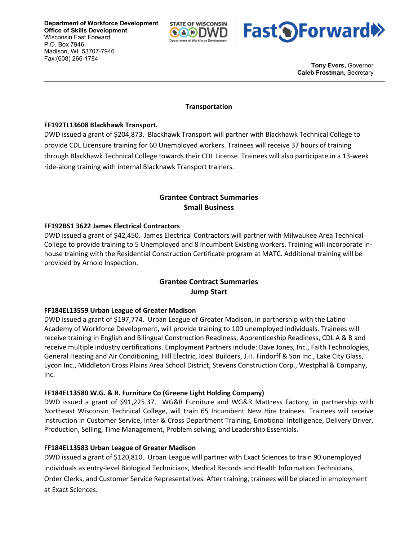



**Tony Evers,** Governor **Caleb Frostman,** Secretary

#### **Transportation**

#### **FF192TL13608 Blackhawk Transport.**

DWD issued a grant of \$204,873. Blackhawk Transport will partner with Blackhawk Technical College to provide CDL Licensure training for 60 Unemployed workers. Trainees will receive 37 hours of training through Blackhawk Technical College towards their CDL License. Trainees will also participate in a 13-week ride-along training with internal Blackhawk Transport trainers.

## **Grantee Contract Summaries Small Business**

#### **FF192BS1 3622 James Electrical Contractors**

DWD issued a grant of \$42,450. James Electrical Contractors will partner with Milwaukee Area Technical College to provide training to 5 Unemployed and 8 Incumbent Existing workers. Training will incorporate inhouse training with the Residential Construction Certificate program at MATC. Additional training will be provided by Arnold Inspection.

## **Grantee Contract Summaries Jump Start**

#### **FF184EL13559 Urban League of Greater Madison**

DWD issued a grant of \$197,774. Urban League of Greater Madison, in partnership with the Latino Academy of Workforce Development, will provide training to 100 unemployed individuals. Trainees will receive training in English and Bilingual Construction Readiness, Apprenticeship Readiness, CDL A & B and receive multiple industry certifications. Employment Partners include: Dave Jones, Inc., Faith Technologies, General Heating and Air Conditioning, Hill Electric, Ideal Builders, J.H. Findorff & Son Inc., Lake City Glass, Lycon Inc., Middleton Cross Plains Area School District, Stevens Construction Corp., Westphal & Company, Inc.

#### **FF184EL13580 W.G. & R. Furniture Co (Greene Light Holding Company)**

DWD issued a grant of \$91,225.37. WG&R Furniture and WG&R Mattress Factory, in partnership with Northeast Wisconsin Technical College, will train 65 Incumbent New Hire trainees. Trainees will receive instruction in Customer Service, Inter & Cross Department Training, Emotional Intelligence, Delivery Driver, Production, Selling, Time Management, Problem solving, and Leadership Essentials.

#### **FF184EL13583 Urban League of Greater Madison**

DWD issued a grant of \$120,810. Urban League will partner with Exact Sciences to train 90 unemployed individuals as entry-level Biological Technicians, Medical Records and Health Information Technicians, Order Clerks, and Customer Service Representatives. After training, trainees will be placed in employment at Exact Sciences.